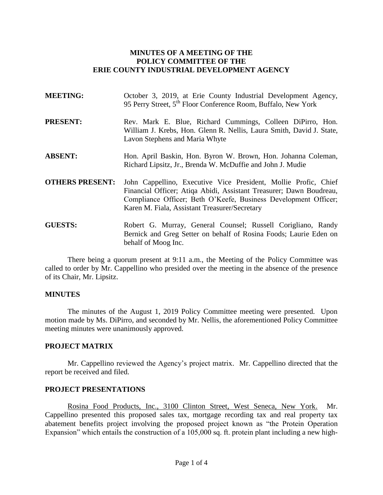### **MINUTES OF A MEETING OF THE POLICY COMMITTEE OF THE ERIE COUNTY INDUSTRIAL DEVELOPMENT AGENCY**

| <b>MEETING:</b>        | October 3, 2019, at Erie County Industrial Development Agency,<br>95 Perry Street, 5 <sup>th</sup> Floor Conference Room, Buffalo, New York                                                                                                                |
|------------------------|------------------------------------------------------------------------------------------------------------------------------------------------------------------------------------------------------------------------------------------------------------|
| <b>PRESENT:</b>        | Rev. Mark E. Blue, Richard Cummings, Colleen DiPirro, Hon.<br>William J. Krebs, Hon. Glenn R. Nellis, Laura Smith, David J. State,<br>Lavon Stephens and Maria Whyte                                                                                       |
| <b>ABSENT:</b>         | Hon. April Baskin, Hon. Byron W. Brown, Hon. Johanna Coleman,<br>Richard Lipsitz, Jr., Brenda W. McDuffie and John J. Mudie                                                                                                                                |
| <b>OTHERS PRESENT:</b> | John Cappellino, Executive Vice President, Mollie Profic, Chief<br>Financial Officer; Atiqa Abidi, Assistant Treasurer; Dawn Boudreau,<br>Compliance Officer; Beth O'Keefe, Business Development Officer;<br>Karen M. Fiala, Assistant Treasurer/Secretary |
| <b>GUESTS:</b>         | Robert G. Murray, General Counsel; Russell Corigliano, Randy<br>Bernick and Greg Setter on behalf of Rosina Foods; Laurie Eden on<br>behalf of Moog Inc.                                                                                                   |

There being a quorum present at 9:11 a.m., the Meeting of the Policy Committee was called to order by Mr. Cappellino who presided over the meeting in the absence of the presence of its Chair, Mr. Lipsitz.

#### **MINUTES**

The minutes of the August 1, 2019 Policy Committee meeting were presented. Upon motion made by Ms. DiPirro, and seconded by Mr. Nellis, the aforementioned Policy Committee meeting minutes were unanimously approved.

#### **PROJECT MATRIX**

Mr. Cappellino reviewed the Agency's project matrix. Mr. Cappellino directed that the report be received and filed.

### **PROJECT PRESENTATIONS**

Rosina Food Products, Inc., 3100 Clinton Street, West Seneca, New York. Mr. Cappellino presented this proposed sales tax, mortgage recording tax and real property tax abatement benefits project involving the proposed project known as "the Protein Operation Expansion" which entails the construction of a 105,000 sq. ft. protein plant including a new high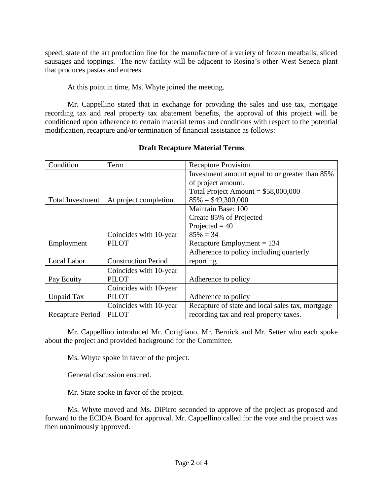speed, state of the art production line for the manufacture of a variety of frozen meatballs, sliced sausages and toppings. The new facility will be adjacent to Rosina's other West Seneca plant that produces pastas and entrees.

At this point in time, Ms. Whyte joined the meeting.

Mr. Cappellino stated that in exchange for providing the sales and use tax, mortgage recording tax and real property tax abatement benefits, the approval of this project will be conditioned upon adherence to certain material terms and conditions with respect to the potential modification, recapture and/or termination of financial assistance as follows:

| Condition               | Term                       | <b>Recapture Provision</b>                       |
|-------------------------|----------------------------|--------------------------------------------------|
|                         |                            | Investment amount equal to or greater than 85%   |
|                         |                            | of project amount.                               |
|                         |                            | Total Project Amount = $$58,000,000$             |
| <b>Total Investment</b> | At project completion      | $85\% = $49,300,000$                             |
|                         |                            | Maintain Base: 100                               |
|                         |                            | Create 85% of Projected                          |
|                         |                            | Projected $= 40$                                 |
|                         | Coincides with 10-year     | $85\% = 34$                                      |
| Employment              | <b>PILOT</b>               | Recapture Employment $= 134$                     |
|                         |                            | Adherence to policy including quarterly          |
| Local Labor             | <b>Construction Period</b> | reporting                                        |
|                         | Coincides with 10-year     |                                                  |
| Pay Equity              | <b>PILOT</b>               | Adherence to policy                              |
|                         | Coincides with 10-year     |                                                  |
| Unpaid Tax              | <b>PILOT</b>               | Adherence to policy                              |
|                         | Coincides with 10-year     | Recapture of state and local sales tax, mortgage |
| Recapture Period        | <b>PILOT</b>               | recording tax and real property taxes.           |

## **Draft Recapture Material Terms**

Mr. Cappellino introduced Mr. Corigliano, Mr. Bernick and Mr. Setter who each spoke about the project and provided background for the Committee.

Ms. Whyte spoke in favor of the project.

General discussion ensured.

Mr. State spoke in favor of the project.

Ms. Whyte moved and Ms. DiPirro seconded to approve of the project as proposed and forward to the ECIDA Board for approval. Mr. Cappellino called for the vote and the project was then unanimously approved.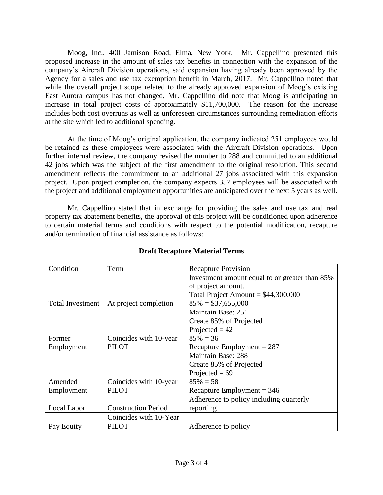Moog, Inc., 400 Jamison Road, Elma, New York. Mr. Cappellino presented this proposed increase in the amount of sales tax benefits in connection with the expansion of the company's Aircraft Division operations, said expansion having already been approved by the Agency for a sales and use tax exemption benefit in March, 2017. Mr. Cappellino noted that while the overall project scope related to the already approved expansion of Moog's existing East Aurora campus has not changed, Mr. Cappellino did note that Moog is anticipating an increase in total project costs of approximately \$11,700,000. The reason for the increase includes both cost overruns as well as unforeseen circumstances surrounding remediation efforts at the site which led to additional spending.

At the time of Moog's original application, the company indicated 251 employees would be retained as these employees were associated with the Aircraft Division operations. Upon further internal review, the company revised the number to 288 and committed to an additional 42 jobs which was the subject of the first amendment to the original resolution. This second amendment reflects the commitment to an additional 27 jobs associated with this expansion project. Upon project completion, the company expects 357 employees will be associated with the project and additional employment opportunities are anticipated over the next 5 years as well.

Mr. Cappellino stated that in exchange for providing the sales and use tax and real property tax abatement benefits, the approval of this project will be conditioned upon adherence to certain material terms and conditions with respect to the potential modification, recapture and/or termination of financial assistance as follows:

| Condition        | Term                       | <b>Recapture Provision</b>                     |
|------------------|----------------------------|------------------------------------------------|
|                  |                            | Investment amount equal to or greater than 85% |
|                  |                            | of project amount.                             |
|                  |                            | Total Project Amount = $$44,300,000$           |
| Total Investment | At project completion      | $85\% = $37,655,000$                           |
|                  |                            | Maintain Base: 251                             |
|                  |                            | Create 85% of Projected                        |
|                  |                            | Projected $= 42$                               |
| Former           | Coincides with 10-year     | $85\% = 36$                                    |
| Employment       | <b>PILOT</b>               | Recapture Employment $= 287$                   |
|                  |                            | <b>Maintain Base: 288</b>                      |
|                  |                            | Create 85% of Projected                        |
|                  |                            | Projected = $69$                               |
| Amended          | Coincides with 10-year     | $85\% = 58$                                    |
| Employment       | <b>PILOT</b>               | Recapture Employment = $346$                   |
|                  |                            | Adherence to policy including quarterly        |
| Local Labor      | <b>Construction Period</b> | reporting                                      |
|                  | Coincides with 10-Year     |                                                |
| Pay Equity       | <b>PILOT</b>               | Adherence to policy                            |

# **Draft Recapture Material Terms**